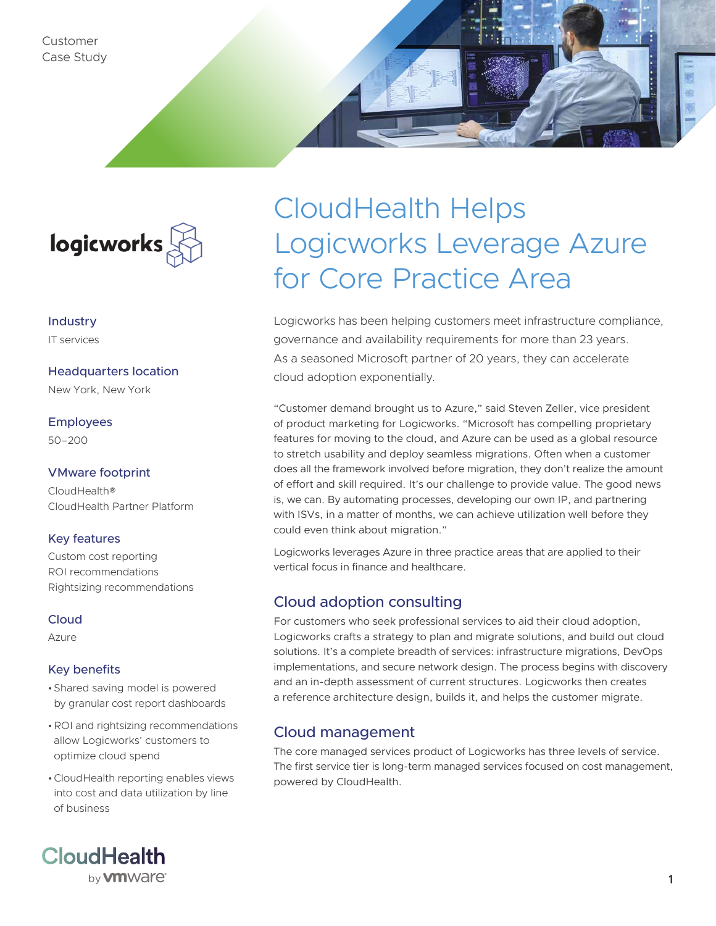Customer Case Study



Industry IT services

Headquarters location

New York, New York

Employees 50–200

### VMware footprint

CloudHealth® CloudHealth Partner Platform

### Key features

Custom cost reporting ROI recommendations Rightsizing recommendations

#### Cloud

Azure

### Key benefits

- •Shared saving model is powered by granular cost report dashboards
- •ROI and rightsizing recommendations allow Logicworks' customers to optimize cloud spend
- •CloudHealth reporting enables views into cost and data utilization by line of business

# CloudHealth Helps Logicworks Leverage Azure for Core Practice Area

Logicworks has been helping customers meet infrastructure compliance, governance and availability requirements for more than 23 years. As a seasoned Microsoft partner of 20 years, they can accelerate cloud adoption exponentially.

"Customer demand brought us to Azure," said Steven Zeller, vice president of product marketing for Logicworks. "Microsoft has compelling proprietary features for moving to the cloud, and Azure can be used as a global resource to stretch usability and deploy seamless migrations. Often when a customer does all the framework involved before migration, they don't realize the amount of effort and skill required. It's our challenge to provide value. The good news is, we can. By automating processes, developing our own IP, and partnering with ISVs, in a matter of months, we can achieve utilization well before they could even think about migration."

Logicworks leverages Azure in three practice areas that are applied to their vertical focus in finance and healthcare.

## Cloud adoption consulting

For customers who seek professional services to aid their cloud adoption, Logicworks crafts a strategy to plan and migrate solutions, and build out cloud solutions. It's a complete breadth of services: infrastructure migrations, DevOps implementations, and secure network design. The process begins with discovery and an in-depth assessment of current structures. Logicworks then creates a reference architecture design, builds it, and helps the customer migrate.

## Cloud management

The core managed services product of Logicworks has three levels of service. The first service tier is long-term managed services focused on cost management, powered by CloudHealth.